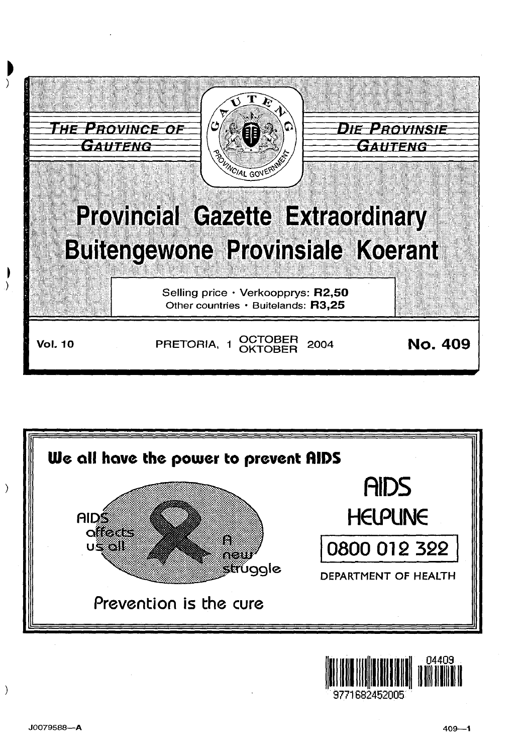





 $\mathcal{E}$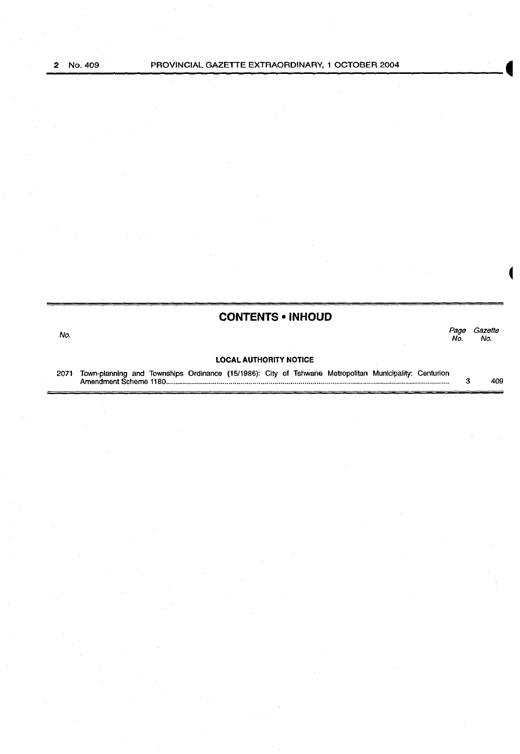## **CONTENTS • INHOUD**

no.<br>No. 1986 - Page Gazette Page Gazette<br>No. No.

#### **LOCAL AUTHORITY NOTICE**

2071 Town-planning and Townships Ordinance (15/1986): City of Tshwane Metropolitan Municipality: Centurion Amendment Scheme 1180 ............................................................................................................................................ . 3 409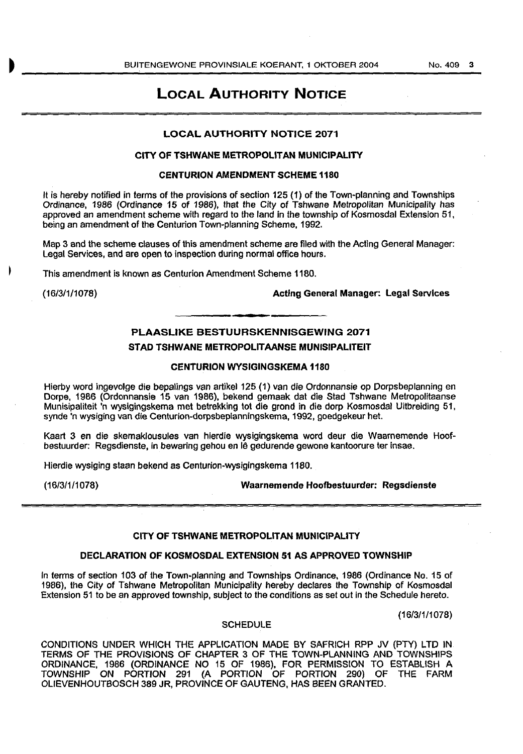## **LOCAL AUTHORITY NOTICE**

## LOCAL AUTHORITY NOTICE 2071

#### CITY OF TSHWANE METROPOLITAN MUNICIPALITY

## CENTURION AMENDMENT SCHEME 1180

It is hereby notified in terms of the provisions of section 125 (1) of the Town-planning and Townships Ordinance, 1986 (Ordinance 15 of 1986), that the City of Tshwane Metropolitan Municipality has approved an amendment scheme with regard to the land in the township of Kosmosdal Extension 51, being an amendment of the Centurion Town-planning Scheme, 1992.

Map 3 and the scheme clauses of this amendment scheme are filed with the Acting General Manager: Legal Services, and are open to inspection during normal office hours.

This amendment is known as Centurion Amendment Scheme 1180.

(16/3/1/1078) Acting General Manager: Legal Services

## PLAASLIKE BESTUURSKENNISGEWING 2071 STAD TSHWANE METROPOLITAANSE MUNISIPALITEIT

### CENTURION WYSIGINGSKEMA 1180

Hierby word ingevolge die bepalings van artikel 125 (1) van die Ordonnansie op Dorpsbeplanning en Dorpe, 1986 (Ordonnansie 15 van 1986), bekend gemaak dat die Stad Tshwane Metropolitaanse Munisipaliteit 'n wysigingskema met betrekking tot die grond in die dorp Kosmosdal Uitbreiding 51, synde 'n wysiging van die Centurion-dorpsbeplanningskema, 1992, goedgekeur het.

Kaart 3 en die skemaklousules van hierdie wysigingskema word deur die Waarnemende Hoofbestuurder: Regsdienste, in bewaring gehou en le gedurende gewone kantoorure ter insae.

Hierdie wysiging staan bekend as Centurion-wysigingskema 1180.

(16/3/1/1 078) Waarnemende Hoofbestuurder: Regsdienste

## CITY OF TSHWANE METROPOLITAN MUNICIPALITY

### DECLARATION OF KOSMOSDAL EXTENSION 51 AS APPROVED TOWNSHIP

In terms of section 103 of the Town-planning and Townships Ordinance, 1986 (Ordinance No. 15 of 1986), the City of Tshwane Metropolitan Municipality hereby declares the Township of Kosmosdal Extension 51 to be an approved township, subject to the conditions as set out in the Schedule hereto.

(16/3/1/1 078)

#### **SCHEDULE**

CONDITIONS UNDER WHICH THE APPLICATION MADE BY SAFRICH RPP JV (PTY) LTD IN TERMS OF THE PROVISIONS OF CHAPTER 3 OF THE TOWN-PLANNING AND TOWNSHIPS ORDINANCE, 1986 (ORDINANCE NO 15 OF 1986), FOR PERMISSION TO ESTABLISH A TOWNSHIP ON PORTION 291 (A PORTION OF PORTION 290) OF THE FARM OLIEVENHOUTBOSCH 389 JR, PROVINCE OF GAUTENG, HAS BEEN GRANTED.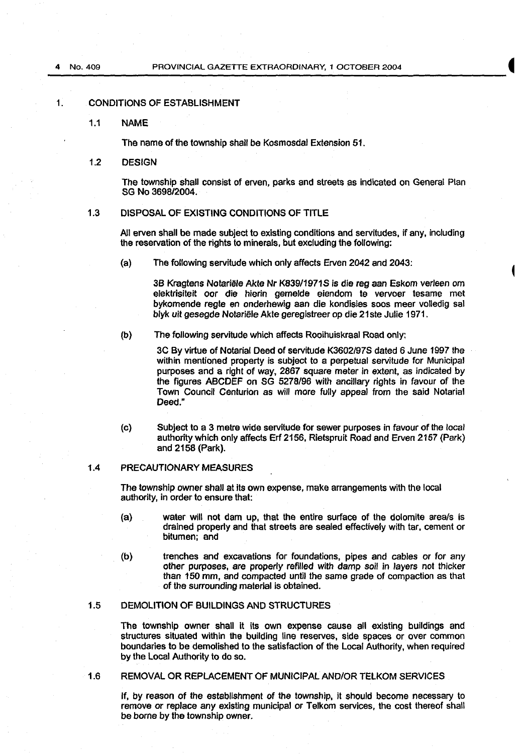#### 1. CONDITIONS OF ESTABLISHMENT

1.1 NAME

The name of the township shall be Kosmosdal Extension 51.

1.2 DESIGN

The township shall consist of erven, parks and streets as indicated on General Plan SG No 3698/2004.

## 1.3 DISPOSAL OF EXISTING CONDITIONS OF TITLE

All erven shall be made subject to existing conditions and servitudes, if any, including the reservation of the rights to minerals, but excluding the following:

(a) The following servitude which only affects Erven 2042 and 2043:

3B Kragtens Notariële Akte Nr K839/1971S is die reg aan Eskom verleen om elektrisiteit oor die hierin gemelde eiendom te vervoer tesame met bykomende regte en onderhewig aan die kondisies soos meer volledig sal blyk uit gesegde Notariele Akte geregistreer op die 21 ste Julie 1971.

(b) The following servitude which affects Rooihuiskraal Road only:

3C By virtue of Notarial Deed of servitude K3602/97S dated 6 June 1997 the within mentioned property is subject to a perpetual servitude for Municipal purposes and a right of way, 2867 square meter in extent, as indicated by the figures ABCDEF on SG 5278/96 with ancillary rights in favour of the Town Council Centurion as will more fully appeal from the said Notarial Deed."

(c) Subject to a 3 metre wide servitude for sewer purposes in favour of the local authority which only affects Erf 2156, Rietspruit Road and Erven 2157 (Park) and 2158 (Park).

## 1.4 PRECAUTIONARY MEASURES

The township owner shall at its own expense, make arrangements with the local authority, in order to ensure that:

- (a) water will not dam up, that the entire surface of the dolomite area/s is drained properly and that streets are sealed effectively with tar, cement or bitumen; and
- (b) trenches and excavations for foundations, pipes and cables or for any other purposes, are properly refilled with damp soil in layers not thicker than 150 mm, and compacted until the same grade of compaction as that of the surrounding material is obtained.

#### 1.5 DEMOLITION OF BUILDINGS AND STRUCTURES

The township owner shall It its own expense cause all existing buildings and structures situated within the building line reserves, side spaces or over common boundaries to be demolished to the satisfaction of the Local Authority, when required by the Local Authority to do so.

1.6 REMOVAL OR REPLACEMENT OF MUNICIPAL AND/OR TELKOM SERVICES

If, by reason of the establishment of the township, it should become necessary to remove or replace any existing municipal or Telkom services, the cost thereof shall be borne by the township owner.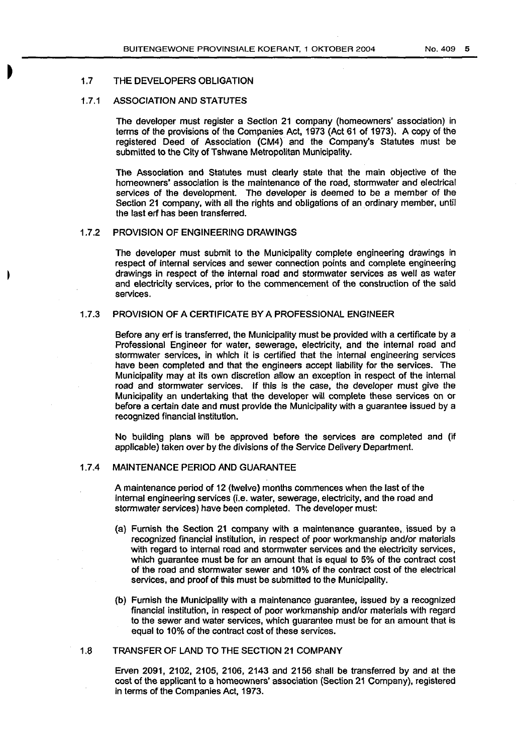## 1.7 THE DEVELOPERS OBLIGATION

## 1.7.1 ASSOCIATION AND STATUTES

The developer must register a Section 21 company (homeowners' association) in terms of the provisions of the Companies Act, 1973 (Act 61 of 1973). A copy of the registered Deed of Association (CM4) and the Company's Statutes must be submitted to the City of Tshwane Metropolitan Municipality.

The Association and Statutes must clearly state that the main objective of the homeowners' association is the maintenance of the road, stormwater and electrical services of the development. The developer is deemed to be a member of the Section 21 company, with all the rights and obligations of an ordinary member, until the last erf has been transferred.

## 1.7.2 PROVISION OF ENGINEERING DRAWINGS

The developer must submit to the Municipality complete engineering drawings in respect of internal services and sewer connection points and complete engineering drawings in respect of the internal road and stormwater services as well as water and electricity services, prior to the commencement of the construction of the said services.

## 1.7.3 PROVISION OF A CERTIFICATE BY A PROFESSIONAL ENGINEER

Before any erf is transferred, the Municipality must be provided with a certificate by a Professional Engineer for water, sewerage, electricity, and the internal road and stormwater services, in which it is certified that the internal engineering services have been completed and that the engineers accept liability for the services. The Municipality may at its own discretion allow an exception in respect of the internal road and stormwater services. If this is the case, the developer must give the Municipality an undertaking that the developer will complete these services on or before a certain date and must provide the Municipality with a guarantee issued by a recognized financial institution.

No building plans will be approved before the services are completed and (if applicable) taken over by the divisions of the Service Delivery Department.

## 1.7.4 MAINTENANCE PERIOD AND GUARANTEE

A maintenance period of 12 (twelve) months commences when the last of the internal engineering services (i.e. water, sewerage, electricity, and the road and stormwater services) have been completed. The developer must:

- (a) Furnish the Section 21 company with a maintenance guarantee, issued by a recognized financial institution, in respect of poor workmanship and/or materials with regard to internal road and stormwater services and the electricity services, which guarantee must be for an amount that is equal to 5% of the contract cost of the road and stormwater sewer and 10% of the contract cost of the electrical services, and proof of this must be submitted to the Municipality.
- (b) Furnish the Municipality with a maintenance guarantee, issued by a recognized financial institution, in respect of poor workmanship and/or materials with regard to the sewer and water services, which guarantee must be for an amount that is equal to 10% of the contract cost of these services.

## 1.8 TRANSFER OF LAND TO THE SECTION 21 COMPANY

Erven 2091, 2102, 2105, 2106, 2143 and 2156 shall be transferred by and at the cost of the applicant to a homeowners' association (Section 21 Company), registered in terms of the Companies Act, 1973.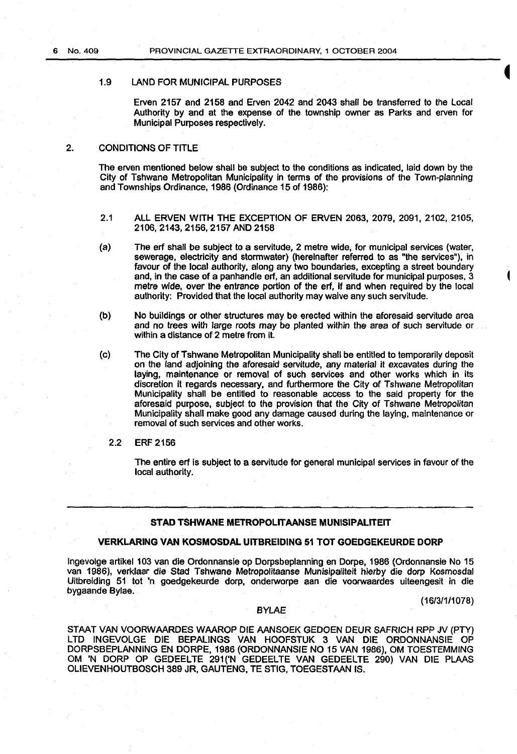#### 1.9 LAND FOR MUNICIPAL PURPOSES

Erven 2157 and 2158 and Erven 2042 and 2043 shall be transferred to the Local Authority by and at the expense of the township owner as Parks and erven for Municipal Purposes respectively.

## 2. CONDITIONS OF TITLE

The erven mentioned below shall be subject to the conditions as indicated, laid down by the City of Tshwane Metropolitan Municipality in terms of the provisions of the Town-planning and Townships Ordinance, 1986 (Ordinance 15 of 1986):

- 2.1 ALL ERVEN WITH THE EXCEPTION OF ERVEN 2063, 2079, 2091, 2102, 2105, 2106, 2143, 2156,2157 AND 2158
- (a) The erf shall be subject to a servitude, 2 metre wide, for municipal services (water, sewerage, electricity and stormwater) (hereinafter referred to as "the services''), in favour of the local authority, along any two boundaries, excepting a street boundary and, in the case of a panhandle erf, an additional servitude for municipal purposes, 3 metre wide, over the entrance portion of the erf, if and when required by the local authority: Provided that the local authority may waive any such servitude.
- (b) No buildings or other structures may be erected within the aforesaid servitude area and no trees with large roots may be planted within the area of such servitude or within a distance of 2 metre from it.
- (c) The City of Tshwane Metropolitan Municipality shall be entitled to temporarily deposit on the land adjoining the aforesaid servitude, any material it excavates during the laying, maintenance or removal of such services and other works which in its discretion it regards necessary, and furthermore the City of Tshwane Metropolitan Municipality shall be entitled to reasonable access to the said property for the aforesaid purpose, subject to the provision that the City of Tshwane Metropolitan Municipality shall make good any damage caused during the laying, maintenance or removal of such services and other works.
	- 2.2 ERF 2156

The entire erf is subject to a servitude for general municipal services in favour of the local authority.

## STAD TSHWANE METROPOLITAANSE MUNISIPALITEIT

#### VERKLARING VAN KOSMOSDAL UITBREIDING 51 TOT GOEDGEKEURDE DORP

lngevolge artikel 103 van die Ordonnansie op Dorpsbeplanning en Dorpe, 1986 (Ordonnansie No 15 van 1986), verklaar die Slad Tshwane Metropolitaanse Munisipaliteit hierby die dorp Kosmosdal Uitbreiding 51 lot 'n goedgekeurde dorp, onderworpe aan die voorwaardes uiteengesit in die bygaande Bylae.

(161311/1078)

### BYLAE

STAAT VAN VOORWAARDES WAAROP DIE AANSOEK GEDOEN DEUR SAFRICH RPP JV (PTY) LTD INGEVOLGE DIE BEPALINGS VAN HOOFSTUK 3 VAN DIE ORDONNANSIE OP DORPSBEPLANNING EN DORPE, 1986 (ORDONNANSIE NO 15 VAN 1986), OM TOESTEMMING OM 'N DORP OP GEDEELTE 291('N GEDEELTE VAN GEDEELTE 290) VAN DIE PLAAS OLIEVENHOUTBOSCH 389 JR, GAUTENG, TE STIG, TOEGESTAAN IS.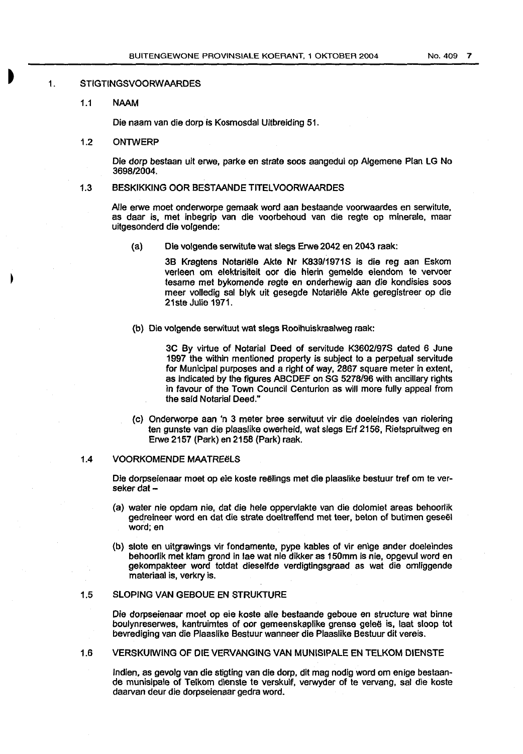#### 1. STIGTINGSVOORWAARDES

1.1 NAAM

Die naam van die dorp is Kosmosdal Uitbreiding 51.

1.2 ONTWERP

Die dorp bestaan uit erwe, parke en strata soos aangedui op Algemene Plan LG No 3698/2004.

#### 1.3 BESKIKKING OOR BESTAANDE TITELVOORWAARDES

Aile erwe moet onderworpe gemaak word aan bestaande voorwaardes en serwitute, as daar is, met inbegrip van die voorbehoud van die regte op minerale, maar uitgesonderd die volgende:

(a) Die volgende serwitute wat slegs Erwe 2042 en 2043 raak:

3B Kragtens Notariële Akte Nr K839/1971S is die reg aan Eskom verleen om elektrisiteit oor die hierin gemelde eiendom te vervoer tesame met bykomende regte en onderhewig aan die kondisies soos meer volledig sal blyk uit gesegde Notariele Akte geregistreer op die 21ste Julie 1971.

(b) Die volgende serwituut wat slegs Rooihuiskraalweg raak:

3C By virtue of Notarial Deed of servitude K3602/97S dated 6 June 1997 the within mentioned property is subject to a perpetual servitude for Municipal purposes and a right of way, 2867 square meter in extent, as Indicated by the figures ABCDEF on SG 5278/96 with ancillary rights in favour of the Town Council Centurion as will more fully appeal from the said Notarial Deed."

(c) Onderworpe aan 'n 3 meter bree serwituut vir die doeleindes van riolering ten gunste van die plaaslike owerheid, wat slegs Erf 2156, Rietspruitweg en Erwe 2157 (Park) en 2158 (Park) raak.

#### 1.4 VOORKOMENDE MAATREËLS

Die dorpseienaar moet op eie koste reëlings met die plaaslike bestuur tref om te verseker dat  $-$ 

- (a) water nie opdam nie, dat die hele oppervlakte van die dolomiet areas behoorlik gedreineer word en dat die strate doeltreffend met teer, beton of butimen geseël word; en
- (b) slote en uitgrawings vir fondamente, pype kables of vir enige ander doeleindes behoorlik met klam grond in lae wat nie dikker as 150mm is nie, opgevul word en gekompakteer word totdat dieselfde verdigtingsgraad as wat die omliggende materiaal is, verkry is.

## 1.5 SLOPING VAN GEBOUE EN STRUKTURE

Die dorpseienaar moet op eie koste aile bestaande geboue en structure wat binne boulynreserwes, kantruimtes of oor gemeenskaplike grense geleë is, laat sloop tot bevrediging van die Plaaslike Bestuur wanneer die Plaaslike Bestuur dit vereis.

## 1.6 VERSKUIWING OF DIE VERVANGING VAN MUNISIPALE EN TELKOM DIENSTE

lndlen, as gevolg van die stigting van die dorp, dit mag nodig word om enige bestaande munisipale of Telkom dienste te verskuif, verwyder of te vervang, sal die koste daarvan deur die dorpseienaar gedra word.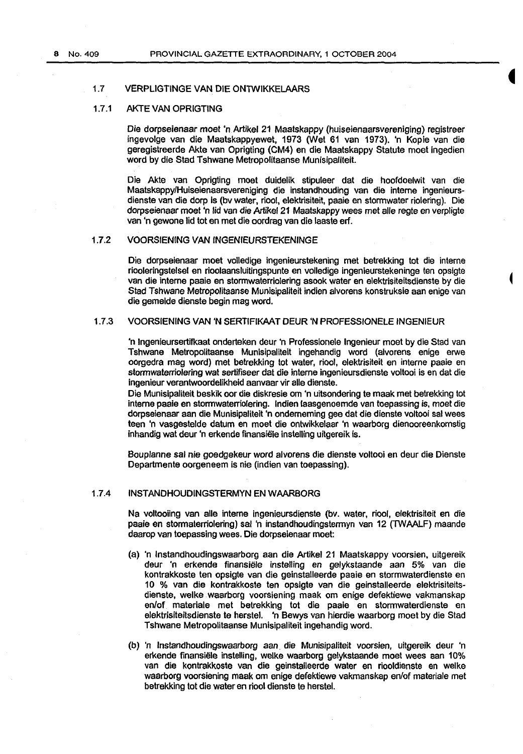## 1. 7 VERPLIGTINGE VAN DIE ONTWIKKELAARS

## 1.7 .1 AKTE VAN OPRIGTING

Die dorpseienaar moet 'n Artikel 21 Maatskappy (huiseienaarsvereniging) registreer ingevolge van die Maatskappyewet, 1973 (Wet 61 van 1973). 'n Kopie van die geregistreerde Akte van Oprigting (CM4) en die Maatskappy Statute moet ingedien word by die Stad Tshwane Metropolitaanse Munisipaliteit.

Die Akte van Oprigting moet duidelik stipuleer dat die hoofdoelwit van die Maatskappy/Huiseienaarsvereniging die instandhouding van die interne ingenieursdienste van die dorp Is (bv water, riool, elektrisiteit, paaie en stormwater riolering). Die dorpseienaar moet 'n lid van die Artikel 21 Maatskappy wees met aile regte en verpligte van 'n gewone lid tot en met die oordrag van die laaste erf.

## 1.7.2 VOORSIENING VAN INGENIEURSTEKENINGE

Die dorpseienaar moet volledige ingenieurstekening met betrekking tot die interne riooleringstelsel en rioolaansluitingspunte en volledige ingenieurstekeninge ten opsigte van die interne paaie en stormwaterriolering asook water en elektrisiteitsdienste by die Stad Tshwane Metropolitaanse Munisipaliteit indien alvorens konstruksie aan enige van die gemelde dienste begin mag word.

### 1.7.3 VOORSIENING VAN 'N SERTIFIKAAT DEUR 'N PROFESSIONELE INGENIEUR

'n lngenieursertifkaat onderteken deur 'n Professionele lngenieur moet by die Stad van Tshwane Metropolitaanse Munisipaliteit ingehandig word (alvorens enige erwe oorgedra mag word) met belrekking tot water, riool, elektrisiteit en interne paaie en stormwaterriolering wat sertifiseer dat die interne ingenieursdienste voltooi is en dat die ingenieur verantwoordelikheid aanvaar vir aile dienste.

Die Munisipaliteit beskik oor die diskresie om 'n uitsondering te maak met betrekking tot interne paaie en stormwaterriolering. Indian laasgenoemde van toepassing is, moet die dorpseienaar aan die Munisipaliteit 'n ondememing gee dat die dienste voltooi sal wees teen 'n vasgestelde datum en moet die ontwikkelaar 'n waarborg dienooreenkomstig inhandig wat deur 'n erkende finansiele installing uitgereik is.

Bouplanne sal nie goedgekeur word alvorens die dienste voltooi en deur die Dienste Departmente oorgeneem is nie (indien van toepassing).

## 1.7.4 INSTANDHOUDINGSTERMYN EN WAARBORG

Na voltooiing van aile interne ingenieursdienste (bv. water, riool, elektrisiteit en die paaie en stormaterriolering) sal 'n instandhoudingstermyn van 12 (TWAALF) maande daarop van toepassing wees. Die dorpseienaar moet:

- (a) 'n lnstandhoudingswaarborg aan die Artikel 21 Maatskappy voorsien, uitgereik deur 'n erkende finansiele installing en gelykstaande aan 5% van die kontrakkoste ten opsigte van die geinstalleerde paaie en stormwaterdienste en 1 0 % van die kontrakkoste ten opsigte van die geinstalleerde elektrisiteitsdienste, welke waarborg voorsiening maak om enige defektiewe vakmanskap en/of materiale met betrekking tot die paaie en stormwaterdienste en elektrisiteitsdienste te herstel. 'n Bewys van hierdie waarborg moet by die Stad Tshwane Metropolitaanse Munisipaliteit ingehandig word.
- (b) 'n lnstandhoudingswaarborg aan. die Munisipaliteit voorsien, uitgereik deur 'n erkende finansiële instelling, welke waarborg gelykstaande moet wees aan 10% van die kontrakkoste van die geinstalleerde water en riooldienste en welke waarborg voorsiening maak om enige defektiewe vakmanskap en/of materiale met betrekking tot die water en riool dienste te herstel.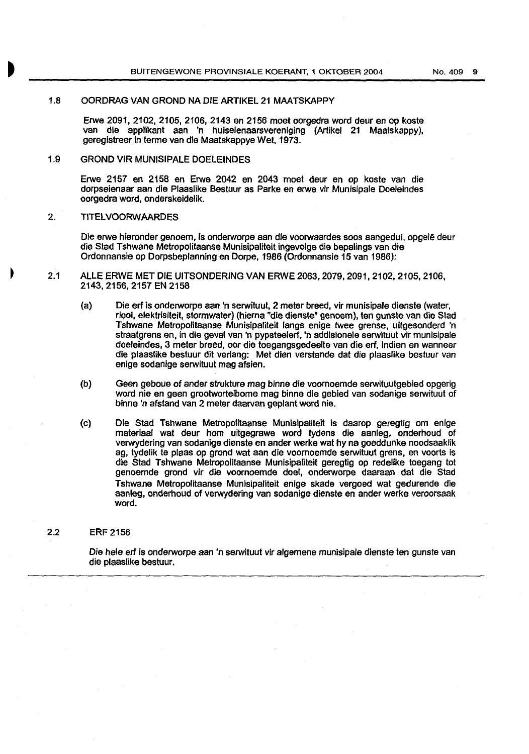## 1.8 OORDRAG VAN GROND NA DIE ARTIKEL 21 MAATSKAPPY

Erwe 2091, 2102, 2105, 2106, 2143 en 2156 moet oorgedra word deur en op koste van die applikant aan 'n huiseienaarsvereniging (Artikel 21 Maatskappy), geregistreer in terme van die Maatskappye Wet, 1973.

### 1.9 GROND VIR MUNISIPALE DOELEINDES

Erwe 2157 en 2158 en Erwe 2042 en 2043 moe! deur en op koste van die dorpseienaar aan die Plaaslike Bestuur as Parke en erwe vir Munisipale Doeleindes oorgedra word, onderskeidelik.

## 2. TITELVOORWAARDES

Die erwe hieronder genoem, is onderworpe aan die voorwaardes soos aangedui, opgelê deur die Stad Tshwane Metropolitaanse Munisipaliteit ingevolge die bepalings van die Ordonnansie op Dorpsbeplanning en Dorpe, 1986 (Ordonnansie 15 van 1986):

- 2.1 ALLE ERWE MET DIE UITSONDERING VAN ERWE 2063,2079,2091,2102,2105,2106, 2143,2156, 2157 EN 2158
	- (a) Die erf is onderworpe aan 'n serwituut, 2 meter breed, vir munisipale dienste (water, riool, elektrisiteit, stormwater) (hierna "die dienste" genoem), ten gunste van die Stad Tshwane Metropolitaanse Munisipaliteit langs enige twee grense, uitgesonderd 'n straatgrens en, in die geval van 'n pypsteelerf, 'n addisionele serwituut vir munisipale doeleindes, 3 meter breed, oor die toegangsgedeelte van die erf, indien en wanneer die plaaslike bestuur dit verlang: Met dlen verstande dat die plaaslike bestuur van enige sodanige serwituut mag afsien.
	- (b) Geen geboue of ander strukture mag binne die voornoemde serwituutgebied opgerig word nie en geen grootworteibome mag binne die gebied van sodanige serwituut of binne 'n afsland van 2 meter daarvan geplant word nie.
	- (c) Die Stad Tshwane Metropolitaanse Munisipaliteit is daarop geregtig om enige materiaal wat deur hom uitgegrawe word tydens die aanleg, onderhoud of verwydering van sodanige dienste en ander werke wat hy na goeddunke noodsaaklik ag, tydelik te plaas op grond wat aan die voornoemde serwituut grens, en voorts is die Stad Tshwane Metropolltaanse Munisipaliteit geregtig op redelike toegang tot genoemde grond vir die voornoemde doel, onderworpe daaraan dat die Stad Tshwane Metropolitaanse Munisipaliteit enige skade vergoed wat gedurende die aanleg, onderhoud of verwydering van sodanige dienste en ander werke veroorsaak word.

#### 2.2 ERF 2156

Die hele erf is onderworpe aan 'n serwituut vir algemene munisipale dienste ten gunste van die plaaslike bestuur.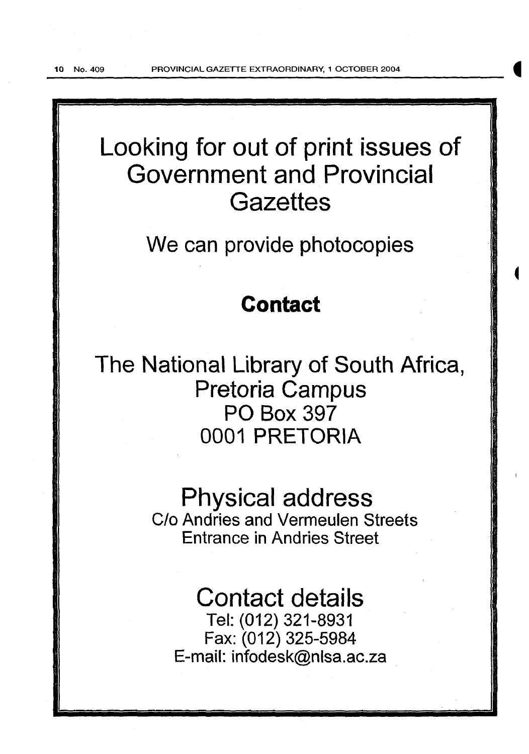10 No. 409 PROVINCIAL GAZETTE EXTRAORDINARY, 1 OCTOBER 2004

# Looking for out of print issues of Government and Provincial **Gazettes**

We can provide photocopies

## **Contact**

The National Library of South Africa, Pretoria Campus PO Box 397 0001 PRETORIA

## Physical address

C/o Andries and Vermeulen Streets Entrance in Andries Street

## Contact details

Tel: (012) 321-8931 Fax: (012) 325-5984 E-mail: infodesk@nlsa.ac.za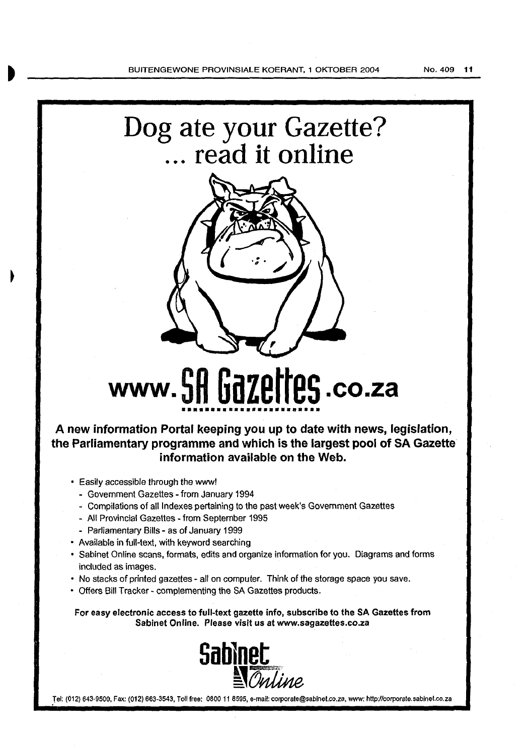



# **www. 5H GdZEHE5.co.za** ••••••••••••••••••••••••

*A* **new information Portal keeping you up to date with news, legislation, the Parliamentary programme and which is the largest pool of SA Gazette information available on the Web.** 

- Easily accessible through the www!
	- Government Gazettes- from January 1994
	- Compilations of all Indexes pertaining to the past week's Government Gazettes
	- All Provincial Gazettes -from September 1995
	- Parliamentary Bills as of January 1999
- Available in full-text, with keyword searching
- Sabinet Online scans, formats, edits and organize information for you. Diagrams and forms included as images.
- No stacks of printed gazettes- all on computer. Think of the storage space you save.
- Offers Bill Tracker- complementing the SA Gazettes products.

For easy electronic access to full-text gazette info, subscribe to the SA Gazettes from Sabinet Online. Please visit us at www.sagazettes.co.za



Tel: (012) 643-9500, Fax: (012) 663-3543, Toll free: 0800 11 8595, e-mail: corporate@sablnet.co.za, www: http://corporate.sablnet.co.za